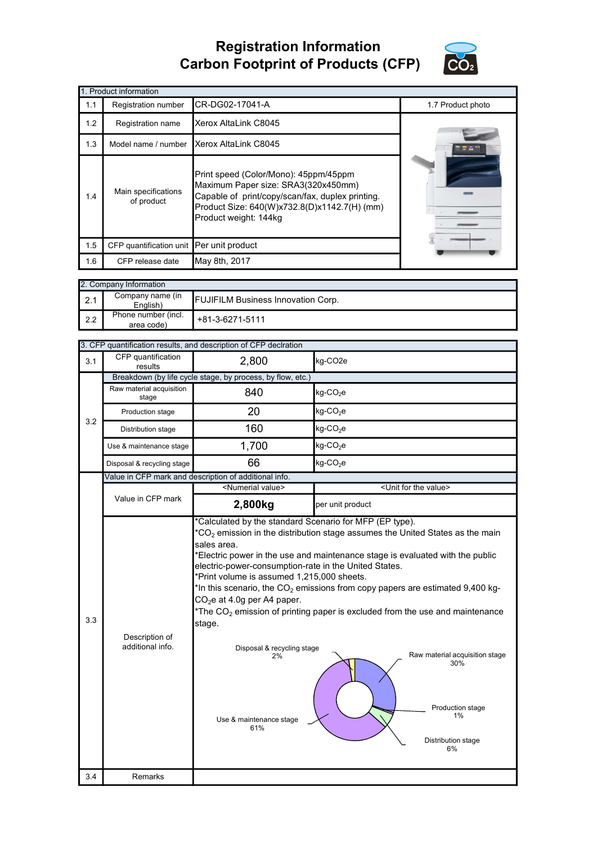## Registration Information Carbon Footprint of Products (CFP)



|     | 1. Product information                   |                                                                                                                                                                                                           |                   |  |  |  |
|-----|------------------------------------------|-----------------------------------------------------------------------------------------------------------------------------------------------------------------------------------------------------------|-------------------|--|--|--|
| 1.1 | Registration number                      | CR-DG02-17041-A                                                                                                                                                                                           | 1.7 Product photo |  |  |  |
| 1.2 | Registration name                        | Xerox AltaLink C8045                                                                                                                                                                                      |                   |  |  |  |
| 1.3 | Model name / number                      | Xerox AltaLink C8045                                                                                                                                                                                      |                   |  |  |  |
| 1.4 | Main specifications<br>of product        | Print speed (Color/Mono): 45ppm/45ppm<br>Maximum Paper size: SRA3(320x450mm)<br>Capable of print/copy/scan/fax, duplex printing.<br>Product Size: 640(W)x732.8(D)x1142.7(H) (mm)<br>Product weight: 144kg |                   |  |  |  |
| 1.5 | CFP quantification unit Per unit product |                                                                                                                                                                                                           |                   |  |  |  |
| 1.6 | CFP release date                         | May 8th, 2017                                                                                                                                                                                             |                   |  |  |  |

| 2. Company Information |                                   |                                           |  |  |
|------------------------|-----------------------------------|-------------------------------------------|--|--|
| $\mathsf{I}$ 2.1       | Company name (in<br>English)      | <b>FUJIFILM Business Innovation Corp.</b> |  |  |
| $\mathsf{I}$ 2.2       | Phone number (incl.<br>area code) | +81-3-6271-5111                           |  |  |

|     | 3. CFP quantification results, and description of CFP declration |                                                                                                                                                                                                                                    |                                                                                                                                                                                                                                                                                                                                                                                                                                                  |  |  |
|-----|------------------------------------------------------------------|------------------------------------------------------------------------------------------------------------------------------------------------------------------------------------------------------------------------------------|--------------------------------------------------------------------------------------------------------------------------------------------------------------------------------------------------------------------------------------------------------------------------------------------------------------------------------------------------------------------------------------------------------------------------------------------------|--|--|
| 3.1 | CFP quantification<br>results                                    | kg-CO <sub>2e</sub><br>2,800                                                                                                                                                                                                       |                                                                                                                                                                                                                                                                                                                                                                                                                                                  |  |  |
|     |                                                                  | Breakdown (by life cycle stage, by process, by flow, etc.)                                                                                                                                                                         |                                                                                                                                                                                                                                                                                                                                                                                                                                                  |  |  |
|     | Raw material acquisition<br>stage                                | 840                                                                                                                                                                                                                                | kg-CO <sub>2</sub> e                                                                                                                                                                                                                                                                                                                                                                                                                             |  |  |
| 3.2 | Production stage                                                 | 20                                                                                                                                                                                                                                 | kg-CO <sub>2</sub> e                                                                                                                                                                                                                                                                                                                                                                                                                             |  |  |
|     | Distribution stage                                               | 160                                                                                                                                                                                                                                | $kg$ -CO <sub>2</sub> e                                                                                                                                                                                                                                                                                                                                                                                                                          |  |  |
|     | Use & maintenance stage                                          | 1,700                                                                                                                                                                                                                              | $kg$ -CO <sub>2</sub> e                                                                                                                                                                                                                                                                                                                                                                                                                          |  |  |
|     | Disposal & recycling stage                                       | 66                                                                                                                                                                                                                                 | kg-CO <sub>2</sub> e                                                                                                                                                                                                                                                                                                                                                                                                                             |  |  |
|     | Value in CFP mark and description of additional info.            |                                                                                                                                                                                                                                    |                                                                                                                                                                                                                                                                                                                                                                                                                                                  |  |  |
|     |                                                                  | <numerial value=""></numerial>                                                                                                                                                                                                     | <unit for="" the="" value=""></unit>                                                                                                                                                                                                                                                                                                                                                                                                             |  |  |
|     | Value in CFP mark                                                | 2,800kg                                                                                                                                                                                                                            | per unit product                                                                                                                                                                                                                                                                                                                                                                                                                                 |  |  |
| 3.3 | Description of<br>additional info.                               | sales area.<br>electric-power-consumption-rate in the United States.<br>*Print volume is assumed 1,215,000 sheets.<br>$CO2e$ at 4.0g per A4 paper.<br>stage.<br>Disposal & recycling stage<br>2%<br>Use & maintenance stage<br>61% | $^*CO_2$ emission in the distribution stage assumes the United States as the main<br>*Electric power in the use and maintenance stage is evaluated with the public<br>*In this scenario, the $\mathrm{CO}_2$ emissions from copy papers are estimated 9,400 kg-<br>*The $CO2$ emission of printing paper is excluded from the use and maintenance<br>Raw material acquisition stage<br>30%<br>Production stage<br>1%<br>Distribution stage<br>6% |  |  |
| 3.4 | Remarks                                                          |                                                                                                                                                                                                                                    |                                                                                                                                                                                                                                                                                                                                                                                                                                                  |  |  |